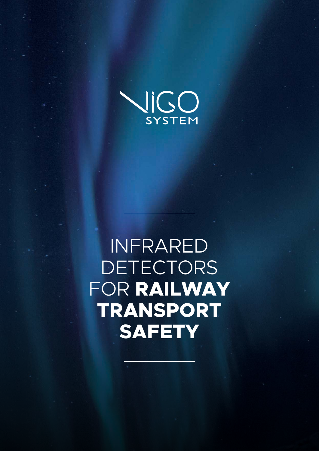

INFRARED **DETECTORS** FOR **RAILWAY TRANSPORT SAFETY**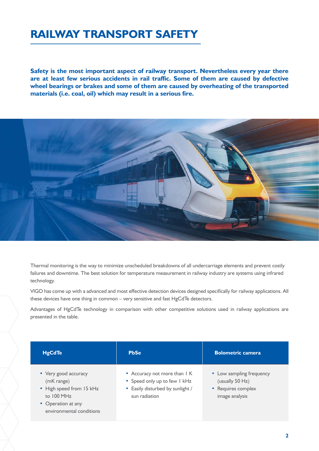# **RAILWAY TRANSPORT SAFETY**

**Safety is the most important aspect of railway transport. Nevertheless every year there are at least few serious accidents in rail traffic. Some of them are caused by defective wheel bearings or brakes and some of them are caused by overheating of the transported materials (i.e. coal, oil) which may result in a serious fire.**



Thermal monitoring is the way to minimize unscheduled breakdowns of all undercarriage elements and prevent costly failures and downtime. The best solution for temperature measurement in railway industry are systems using infrared technology.

VIGO has come up with a advanced and most effective detection devices designed specifically for railway applications. All these devices have one thing in common – very sensitive and fast HgCdTe detectors.

Advantages of HgCdTe technology in comparison with other competitive solutions used in railway applications are presented in the table.

| <b>HgCdTe</b>                                                                                                                  | <b>PbSe</b>                                                                                                       | <b>Bolometric camera</b>                                                            |
|--------------------------------------------------------------------------------------------------------------------------------|-------------------------------------------------------------------------------------------------------------------|-------------------------------------------------------------------------------------|
| • Very good accuracy<br>(mK range)<br>• High speed from 15 kHz<br>to 100 MHz<br>• Operation at any<br>environmental conditions | • Accuracy not more than I K<br>• Speed only up to few I kHz<br>• Easily disturbed by sunlight /<br>sun radiation | • Low sampling frequency<br>(usually 50 Hz)<br>• Requires complex<br>image analysis |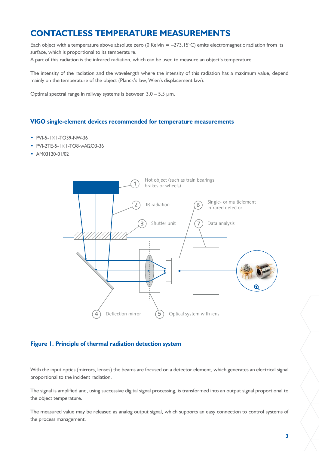# **CONTACTLESS TEMPERATURE MEASUREMENTS**

Each object with a temperature above absolute zero (0 Kelvin  $= -273.15^{\circ}$ C) emits electromagnetic radiation from its surface, which is proportional to its temperature.

A part of this radiation is the infrared radiation, which can be used to measure an object's temperature.

The intensity of the radiation and the wavelength where the intensity of this radiation has a maximum value, depend mainly on the temperature of the object (Planck's law, Wien's displacement law).

Optimal spectral range in railway systems is between 3.0 – 5.5 µm.

#### **VIGO single-element devices recommended for temperature measurements**

- PVI-5-1×1-TO39-NW-36
- PVI-2TE-5-1×1-TO8-wAl2O3-36
- AM03120-01/02



### **Figure 1. Principle of thermal radiation detection system**

With the input optics (mirrors, lenses) the beams are focused on a detector element, which generates an electrical signal proportional to the incident radiation.

The signal is amplified and, using successive digital signal processing, is transformed into an output signal proportional to the object temperature.

The measured value may be released as analog output signal, which supports an easy connection to control systems of the process management.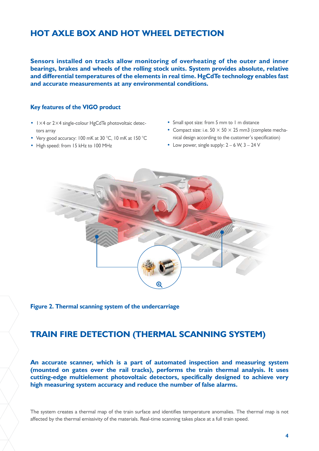# **HOT AXLE BOX AND HOT WHEEL DETECTION**

**Sensors installed on tracks allow monitoring of overheating of the outer and inner bearings, brakes and wheels of the rolling stock units. System provides absolute, relative and differential temperatures of the elements in real time. HgCdTe technology enables fast and accurate measurements at any environmental conditions.**

#### **Key features of the VIGO product**

- $1 \times 4$  or 2 $\times 4$  single-colour HgCdTe photovoltaic detectors array
- Very good accuracy: 100 mK at 30 °C, 10 mK at 150 °C
- High speed: from 15 kHz to 100 MHz
- Small spot size: from 5 mm to 1 m distance
- Compact size: i.e.  $50 \times 50 \times 25$  mm3 (complete mechanical design according to the customer's specification)
- Low power, single supply:  $2 6$  W,  $3 24$  V



**Figure 2. Thermal scanning system of the undercarriage**

## **TRAIN FIRE DETECTION (THERMAL SCANNING SYSTEM)**

**An accurate scanner, which is a part of automated inspection and measuring system (mounted on gates over the rail tracks), performs the train thermal analysis. It uses cutting-edge multielement photovoltaic detectors, specifically designed to achieve very high measuring system accuracy and reduce the number of false alarms.**

The system creates a thermal map of the train surface and identifies temperature anomalies. The thermal map is not affected by the thermal emissivity of the materials. Real-time scanning takes place at a full train speed.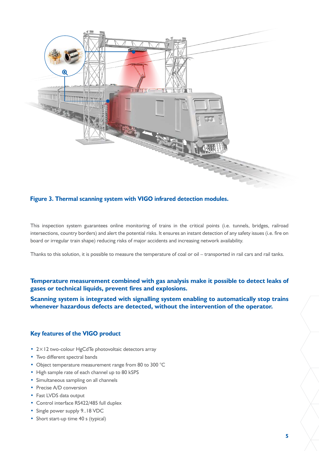

#### **Figure 3. Thermal scanning system with VIGO infrared detection modules.**

This inspection system guarantees online monitoring of trains in the critical points (i.e. tunnels, bridges, railroad intersections, country borders) and alert the potential risks. It ensures an instant detection of any safety issues (i.e. fire on board or irregular train shape) reducing risks of major accidents and increasing network availability.

Thanks to this solution, it is possible to measure the temperature of coal or oil – transported in rail cars and rail tanks.

**Temperature measurement combined with gas analysis make it possible to detect leaks of gases or technical liquids, prevent fires and explosions.**

**Scanning system is integrated with signalling system enabling to automatically stop trains whenever hazardous defects are detected, without the intervention of the operator.**

### **Key features of the VIGO product**

- 2×12 two-colour HgCdTe photovoltaic detectors array
- Two different spectral bands
- Object temperature measurement range from 80 to 300 °C
- High sample rate of each channel up to 80 kSPS
- Simultaneous sampling on all channels
- Precise A/D conversion
- Fast LVDS data output
- Control interface RS422/485 full duplex
- Single power supply 9..18 VDC
- Short start-up time 40 s (typical)